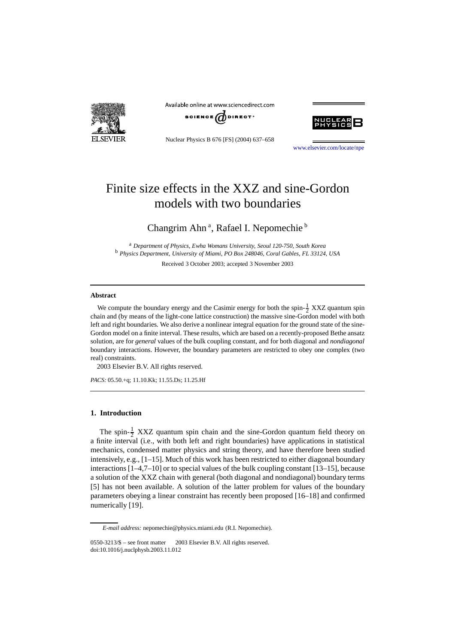

Available online at www.sciencedirect.com



Nuclear Physics B 676 [FS] (2004) 637–658



[www.elsevier.com/locate/npe](http://www.elsevier.com/locate/npe)

# Finite size effects in the XXZ and sine-Gordon models with two boundaries

# Changrim Ahn<sup>a</sup>, Rafael I. Nepomechie<sup>b</sup>

<sup>a</sup> *Department of Physics, Ewha Womans University, Seoul 120-750, South Korea* <sup>b</sup> *Physics Department, University of Miami, PO Box 248046, Coral Gables, FL 33124, USA*

Received 3 October 2003; accepted 3 November 2003

#### **Abstract**

We compute the boundary energy and the Casimir energy for both the spin- $\frac{1}{2}$  XXZ quantum spin chain and (by means of the light-cone lattice construction) the massive sine-Gordon model with both left and right boundaries. We also derive a nonlinear integral equation for the ground state of the sine-Gordon model on a finite interval. These results, which are based on a recently-proposed Bethe ansatz solution, are for *general* values of the bulk coupling constant, and for both diagonal and *nondiagonal* boundary interactions. However, the boundary parameters are restricted to obey one complex (two real) constraints.

2003 Elsevier B.V. All rights reserved.

*PACS:* 05.50.+q; 11.10.Kk; 11.55.Ds; 11.25.Hf

# **1. Introduction**

The spin- $\frac{1}{2}$  XXZ quantum spin chain and the sine-Gordon quantum field theory on a finite interval (i.e., with both left and right boundaries) have applications in statistical mechanics, condensed matter physics and string theory, and have therefore been studied intensively, e.g., [1–15]. Much of this work has been restricted to either diagonal boundary interactions [1–4,7–10] or to special values of the bulk coupling constant [13–15], because a solution of the XXZ chain with general (both diagonal and nondiagonal) boundary terms [5] has not been available. A solution of the latter problem for values of the boundary parameters obeying a linear constraint has recently been proposed [16–18] and confirmed numerically [19].

*E-mail address:* nepomechie@physics.miami.edu (R.I. Nepomechie).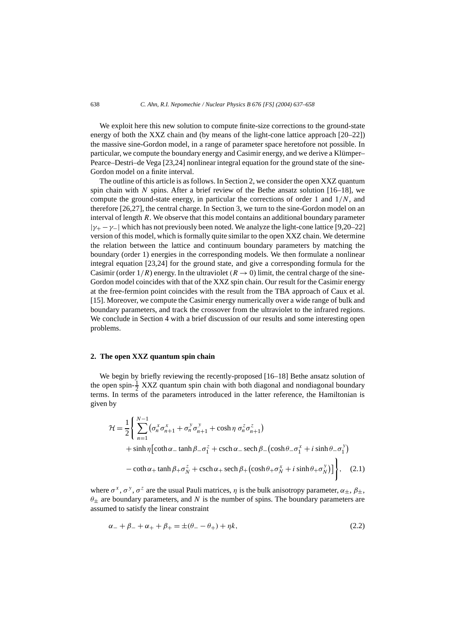We exploit here this new solution to compute finite-size corrections to the ground-state energy of both the XXZ chain and (by means of the light-cone lattice approach [20–22]) the massive sine-Gordon model, in a range of parameter space heretofore not possible. In particular, we compute the boundary energy and Casimir energy, and we derive a Klümper– Pearce–Destri–de Vega [23,24] nonlinear integral equation for the ground state of the sine-Gordon model on a finite interval.

The outline of this article is as follows. In Section 2, we consider the open XXZ quantum spin chain with *N* spins. After a brief review of the Bethe ansatz solution  $[16–18]$ , we compute the ground-state energy, in particular the corrections of order 1 and 1*/N*, and therefore [26,27], the central charge. In Section 3, we turn to the sine-Gordon model on an interval of length *R*. We observe that this model contains an additional boundary parameter |*γ*<sup>+</sup> −*γ*−| which has not previously been noted. We analyze the light-cone lattice [9,20–22] version of this model, which is formally quite similar to the open XXZ chain. We determine the relation between the lattice and continuum boundary parameters by matching the boundary (order 1) energies in the corresponding models. We then formulate a nonlinear integral equation [23,24] for the ground state, and give a corresponding formula for the Casimir (order  $1/R$ ) energy. In the ultraviolet  $(R \rightarrow 0)$  limit, the central charge of the sine-Gordon model coincides with that of the XXZ spin chain. Our result for the Casimir energy at the free-fermion point coincides with the result from the TBA approach of Caux et al. [15]. Moreover, we compute the Casimir energy numerically over a wide range of bulk and boundary parameters, and track the crossover from the ultraviolet to the infrared regions. We conclude in Section 4 with a brief discussion of our results and some interesting open problems.

# **2. The open XXZ quantum spin chain**

We begin by briefly reviewing the recently-proposed [16–18] Bethe ansatz solution of the open spin- $\frac{1}{2}$  XXZ quantum spin chain with both diagonal and nondiagonal boundary terms. In terms of the parameters introduced in the latter reference, the Hamiltonian is given by

$$
\mathcal{H} = \frac{1}{2} \Biggl\{ \sum_{n=1}^{N-1} (\sigma_n^x \sigma_{n+1}^x + \sigma_n^y \sigma_{n+1}^y + \cosh \eta \sigma_n^z \sigma_{n+1}^z) + \sinh \eta \Biggl[ \coth \alpha_- \tanh \beta_- \sigma_1^z + \text{csch} \alpha_- \operatorname{sech} \beta_- \bigl( \cosh \theta_- \sigma_1^x + i \sinh \theta_- \sigma_1^y \bigr) - \coth \alpha_+ \tanh \beta_+ \sigma_N^z + \text{csch} \alpha_+ \operatorname{sech} \beta_+ \bigl( \cosh \theta_+ \sigma_N^x + i \sinh \theta_+ \sigma_N^y \bigr) \Biggr] \Biggr\}, \quad (2.1)
$$

where  $\sigma^x$ ,  $\sigma^y$ ,  $\sigma^z$  are the usual Pauli matrices,  $\eta$  is the bulk anisotropy parameter,  $\alpha_{\pm}$ ,  $\beta_{\pm}$ , *θ*± are boundary parameters, and *N* is the number of spins. The boundary parameters are assumed to satisfy the linear constraint

$$
\alpha_- + \beta_- + \alpha_+ + \beta_+ = \pm(\theta_- - \theta_+) + \eta k,\tag{2.2}
$$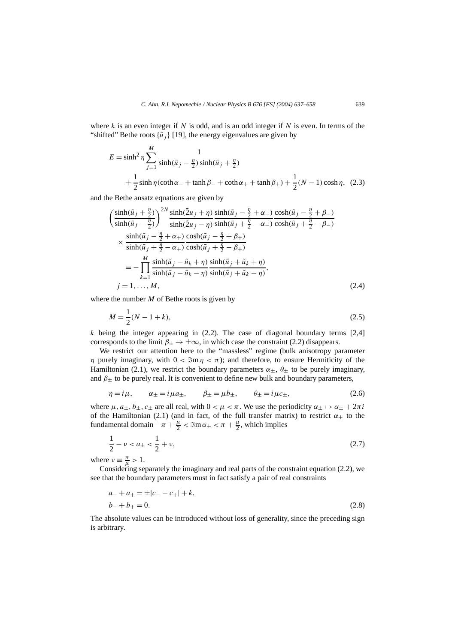where *k* is an even integer if N is odd, and is an odd integer if N is even. In terms of the "shifted" Bethe roots  $\{\tilde{u}_i\}$  [19], the energy eigenvalues are given by

$$
E = \sinh^2 \eta \sum_{j=1}^{M} \frac{1}{\sinh(\tilde{u}_j - \frac{\eta}{2}) \sinh(\tilde{u}_j + \frac{\eta}{2})} + \frac{1}{2} \sinh \eta (\coth \alpha_{-} + \tanh \beta_{-} + \coth \alpha_{+} + \tanh \beta_{+}) + \frac{1}{2}(N - 1) \cosh \eta, (2.3)
$$

and the Bethe ansatz equations are given by

$$
\begin{split}\n&\left(\frac{\sinh(\tilde{u}_j + \frac{\eta}{2})}{\sinh(\tilde{u}_j - \frac{\eta}{2})}\right)^{2N} \frac{\sinh(\tilde{2}u_j + \eta)}{\sinh(\tilde{2}u_j - \eta)} \frac{\sinh(\tilde{u}_j - \frac{\eta}{2} + \alpha_{-})}{\sinh(\tilde{u}_j + \frac{\eta}{2} - \alpha_{-})} \frac{\cosh(\tilde{u}_j - \frac{\eta}{2} + \beta_{-})}{\cosh(\tilde{u}_j + \frac{\eta}{2} - \beta_{-})} \\
&\times \frac{\sinh(\tilde{u}_j - \frac{\eta}{2} + \alpha_{+})}{\sinh(\tilde{u}_j + \frac{\eta}{2} - \alpha_{+})} \frac{\cosh(\tilde{u}_j - \frac{\eta}{2} + \beta_{+})}{\cosh(\tilde{u}_j + \frac{\eta}{2} - \beta_{+})} \\
&= -\prod_{k=1}^{M} \frac{\sinh(\tilde{u}_j - \tilde{u}_k + \eta)}{\sinh(\tilde{u}_j - \tilde{u}_k - \eta)} \frac{\sinh(\tilde{u}_j + \tilde{u}_k + \eta)}{\sinh(\tilde{u}_j + \tilde{u}_k - \eta)}, \\
j = 1, \dots, M,\n\end{split} \tag{2.4}
$$

where the number *M* of Bethe roots is given by

$$
M = \frac{1}{2}(N - 1 + k),\tag{2.5}
$$

*k* being the integer appearing in (2.2). The case of diagonal boundary terms [2,4] corresponds to the limit  $\beta_{\pm} \rightarrow \pm \infty$ , in which case the constraint (2.2) disappears.

We restrict our attention here to the "massless" regime (bulk anisotropy parameter *η* purely imaginary, with  $0 < \Im m \eta < \pi$ ); and therefore, to ensure Hermiticity of the Hamiltonian (2.1), we restrict the boundary parameters  $\alpha_{\pm}$ ,  $\theta_{\pm}$  to be purely imaginary, and  $\beta_{\pm}$  to be purely real. It is convenient to define new bulk and boundary parameters,

$$
\eta = i\mu, \qquad \alpha_{\pm} = i\mu a_{\pm}, \qquad \beta_{\pm} = \mu b_{\pm}, \qquad \theta_{\pm} = i\mu c_{\pm}, \tag{2.6}
$$

where  $\mu$ ,  $a_+$ ,  $b_+$ ,  $c_+$  are all real, with  $0 < \mu < \pi$ . We use the periodicity  $\alpha_+ \mapsto \alpha_+ + 2\pi i$ of the Hamiltonian (2.1) (and in fact, of the full transfer matrix) to restrict  $\alpha_+$  to the fundamental domain  $-\pi + \frac{\mu}{2} < \Im \omega_{\pm} < \pi + \frac{\mu}{2}$ , which implies

$$
\frac{1}{2} - \nu < a_{\pm} < \frac{1}{2} + \nu,\tag{2.7}
$$

where  $\nu \equiv \frac{\pi}{\mu} > 1$ .

Considering separately the imaginary and real parts of the constraint equation (2.2), we see that the boundary parameters must in fact satisfy a pair of real constraints

$$
a_{-} + a_{+} = \pm |c_{-} - c_{+}| + k,
$$
  
\n
$$
b_{-} + b_{+} = 0.
$$
\n(2.8)

The absolute values can be introduced without loss of generality, since the preceding sign is arbitrary.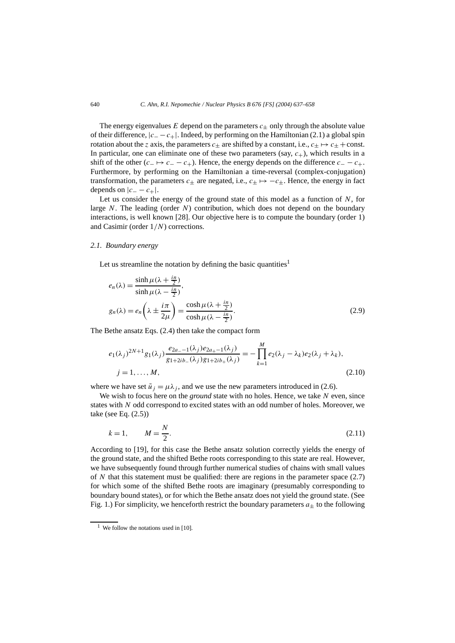The energy eigenvalues  $E$  depend on the parameters  $c_{+}$  only through the absolute value of their difference, |*c*<sup>−</sup> −*c*+|. Indeed, by performing on the Hamiltonian (2.1) a global spin rotation about the *z* axis, the parameters  $c_{+}$  are shifted by a constant, i.e.,  $c_{+} \mapsto c_{+} + \text{const.}$ In particular, one can eliminate one of these two parameters (say,  $c_{+}$ ), which results in a shift of the other  $(c_-\mapsto c_--c_+$ ). Hence, the energy depends on the difference  $c_--c_+$ . Furthermore, by performing on the Hamiltonian a time-reversal (complex-conjugation) transformation, the parameters  $c_{\pm}$  are negated, i.e.,  $c_{\pm} \mapsto -c_{\pm}$ . Hence, the energy in fact depends on  $|c_--c_+|$ .

Let us consider the energy of the ground state of this model as a function of *N*, for large *N*. The leading (order *N*) contribution, which does not depend on the boundary interactions, is well known [28]. Our objective here is to compute the boundary (order 1) and Casimir (order 1*/N*) corrections.

#### *2.1. Boundary energy*

Let us streamline the notation by defining the basic quantities<sup>1</sup>

$$
e_n(\lambda) = \frac{\sinh \mu(\lambda + \frac{in}{2})}{\sinh \mu(\lambda - \frac{in}{2})},
$$
  
\n
$$
g_n(\lambda) = e_n\left(\lambda \pm \frac{i\pi}{2\mu}\right) = \frac{\cosh \mu(\lambda + \frac{in}{2})}{\cosh \mu(\lambda - \frac{in}{2})}.
$$
\n(2.9)

The Bethe ansatz Eqs. (2.4) then take the compact form

$$
e_1(\lambda_j)^{2N+1} g_1(\lambda_j) \frac{e_{2a-1}(\lambda_j) e_{2a+1}(\lambda_j)}{g_{1+2ib_{-}}(\lambda_j) g_{1+2ib_{+}}(\lambda_j)} = -\prod_{k=1}^M e_2(\lambda_j - \lambda_k) e_2(\lambda_j + \lambda_k),
$$
  
\n
$$
j = 1, ..., M,
$$
\n(2.10)

where we have set  $\tilde{u}_j = \mu \lambda_j$ , and we use the new parameters introduced in (2.6).

We wish to focus here on the *ground* state with no holes. Hence, we take *N* even, since states with *N* odd correspond to excited states with an odd number of holes. Moreover, we take (see Eq. (2.5))

$$
k = 1, \qquad M = \frac{N}{2}.\tag{2.11}
$$

According to [19], for this case the Bethe ansatz solution correctly yields the energy of the ground state, and the shifted Bethe roots corresponding to this state are real. However, we have subsequently found through further numerical studies of chains with small values of *N* that this statement must be qualified: there are regions in the parameter space (2.7) for which some of the shifted Bethe roots are imaginary (presumably corresponding to boundary bound states), or for which the Bethe ansatz does not yield the ground state. (See Fig. 1.) For simplicity, we henceforth restrict the boundary parameters  $a_{+}$  to the following

<sup>&</sup>lt;sup>1</sup> We follow the notations used in [10].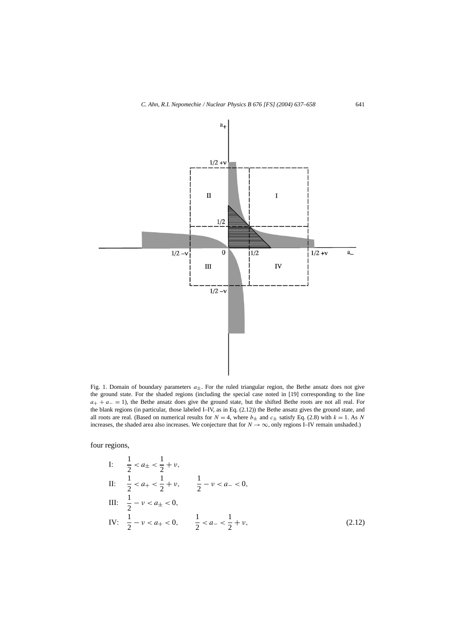

Fig. 1. Domain of boundary parameters  $a_{\pm}$ . For the ruled triangular region, the Bethe ansatz does not give the ground state. For the shaded regions (including the special case noted in [19] corresponding to the line *a*+ + *a*− = 1), the Bethe ansatz does give the ground state, but the shifted Bethe roots are not all real. For the blank regions (in particular, those labeled I–IV, as in Eq. (2.12)) the Bethe ansatz gives the ground state, and all roots are real. (Based on numerical results for  $N = 4$ , where  $b_{\pm}$  and  $c_{\pm}$  satisfy Eq. (2.8) with  $k = 1$ . As N increases, the shaded area also increases. We conjecture that for  $N \to \infty$ , only regions I–IV remain unshaded.)

four regions,

I: 
$$
\frac{1}{2} < a_{\pm} < \frac{1}{2} + v
$$
,  
\nII:  $\frac{1}{2} < a_{+} < \frac{1}{2} + v$ ,  $\frac{1}{2} - v < a_{-} < 0$ ,  
\nIII:  $\frac{1}{2} - v < a_{\pm} < 0$ ,  
\nIV:  $\frac{1}{2} - v < a_{+} < 0$ ,  $\frac{1}{2} < a_{-} < \frac{1}{2} + v$ , (2.12)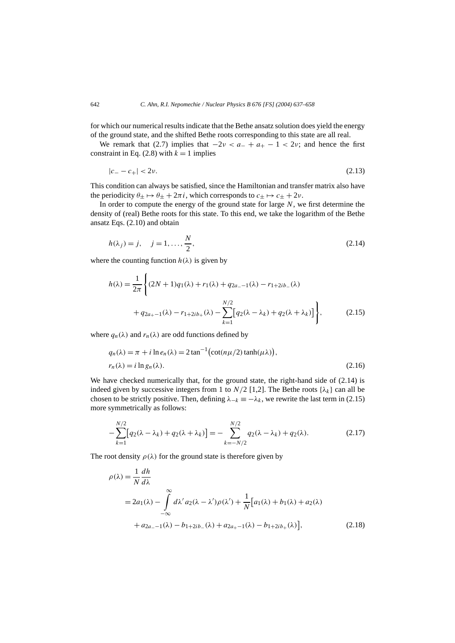for which our numerical results indicate that the Bethe ansatz solution does yield the energy of the ground state, and the shifted Bethe roots corresponding to this state are all real.

We remark that (2.7) implies that  $-2\nu < a_+ + a_+ - 1 < 2\nu$ ; and hence the first constraint in Eq.  $(2.8)$  with  $k = 1$  implies

$$
|c_--c_+|<2\nu.\tag{2.13}
$$

This condition can always be satisfied, since the Hamiltonian and transfer matrix also have the periodicity  $\theta_+ \mapsto \theta_+ + 2\pi i$ , which corresponds to  $c_+ \mapsto c_+ + 2\nu$ .

In order to compute the energy of the ground state for large *N*, we first determine the density of (real) Bethe roots for this state. To this end, we take the logarithm of the Bethe ansatz Eqs. (2.10) and obtain

$$
h(\lambda_j) = j, \quad j = 1, ..., \frac{N}{2},
$$
 (2.14)

where the counting function  $h(\lambda)$  is given by

$$
h(\lambda) = \frac{1}{2\pi} \left\{ (2N+1)q_1(\lambda) + r_1(\lambda) + q_{2a-1}(\lambda) - r_{1+2ib_{-}}(\lambda) + q_{2a_{+}-1}(\lambda) - r_{1+2ib_{+}}(\lambda) - \sum_{k=1}^{N/2} [q_2(\lambda - \lambda_k) + q_2(\lambda + \lambda_k)] \right\},
$$
(2.15)

where  $q_n(\lambda)$  and  $r_n(\lambda)$  are odd functions defined by

$$
q_n(\lambda) = \pi + i \ln e_n(\lambda) = 2 \tan^{-1} \left( \cot(n\mu/2) \tanh(\mu\lambda) \right),
$$
  
\n
$$
r_n(\lambda) = i \ln g_n(\lambda).
$$
\n(2.16)

We have checked numerically that, for the ground state, the right-hand side of  $(2.14)$  is indeed given by successive integers from 1 to  $N/2$  [1,2]. The Bethe roots  $\{\lambda_k\}$  can all be chosen to be strictly positive. Then, defining  $\lambda_{-k} \equiv -\lambda_k$ , we rewrite the last term in (2.15) more symmetrically as follows:

$$
-\sum_{k=1}^{N/2} [q_2(\lambda - \lambda_k) + q_2(\lambda + \lambda_k)] = -\sum_{k=-N/2}^{N/2} q_2(\lambda - \lambda_k) + q_2(\lambda).
$$
 (2.17)

The root density  $\rho(\lambda)$  for the ground state is therefore given by

$$
\rho(\lambda) = \frac{1}{N} \frac{dh}{d\lambda}
$$
  
=  $2a_1(\lambda) - \int_{-\infty}^{\infty} d\lambda' a_2(\lambda - \lambda') \rho(\lambda') + \frac{1}{N} [a_1(\lambda) + b_1(\lambda) + a_2(\lambda)$   
+  $a_{2a-1}(\lambda) - b_{1+2ib}(\lambda) + a_{2a+1}(\lambda) - b_{1+2ib}(\lambda)],$  (2.18)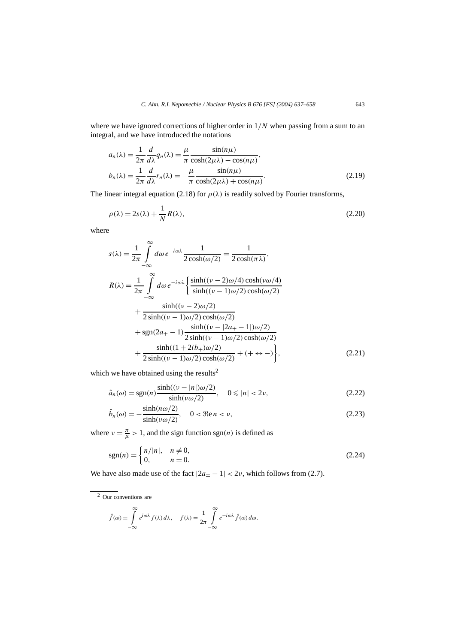where we have ignored corrections of higher order in 1*/N* when passing from a sum to an integral, and we have introduced the notations

$$
a_n(\lambda) = \frac{1}{2\pi} \frac{d}{d\lambda} q_n(\lambda) = \frac{\mu}{\pi} \frac{\sin(n\mu)}{\cosh(2\mu\lambda) - \cos(n\mu)},
$$
  
\n
$$
b_n(\lambda) = \frac{1}{2\pi} \frac{d}{d\lambda} r_n(\lambda) = -\frac{\mu}{\pi} \frac{\sin(n\mu)}{\cosh(2\mu\lambda) + \cos(n\mu)}.
$$
\n(2.19)

The linear integral equation (2.18) for  $\rho(\lambda)$  is readily solved by Fourier transforms,

$$
\rho(\lambda) = 2s(\lambda) + \frac{1}{N}R(\lambda),\tag{2.20}
$$

where

$$
s(\lambda) = \frac{1}{2\pi} \int_{-\infty}^{\infty} d\omega \, e^{-i\omega\lambda} \frac{1}{2 \cosh(\omega/2)} = \frac{1}{2 \cosh(\pi \lambda)},
$$
  
\n
$$
R(\lambda) = \frac{1}{2\pi} \int_{-\infty}^{\infty} d\omega \, e^{-i\omega\lambda} \left\{ \frac{\sinh((\nu - 2)\omega/4) \cosh(\nu \omega/4)}{\sinh((\nu - 1)\omega/2) \cosh(\omega/2)} \right. \\ \left. + \frac{\sinh((\nu - 2)\omega/2)}{2 \sinh((\nu - 1)\omega/2) \cosh(\omega/2)} \right. \\ \left. + \frac{\sinh((\nu - 1)\omega/2) \cosh(\omega/2)}{2 \sinh((\nu - 1)\omega/2) \cosh(\omega/2)} \right. \\ \left. + \frac{\sinh((1 + 2ib +)\omega/2)}{2 \sinh((\nu - 1)\omega/2) \cosh(\omega/2)} + (+ \leftrightarrow -) \right\}, \tag{2.21}
$$

which we have obtained using the results<sup>2</sup>

$$
\hat{a}_n(\omega) = \text{sgn}(n) \frac{\sinh((\nu - |n|)\omega/2)}{\sinh(\nu \omega/2)}, \quad 0 \le |n| < 2\nu,\tag{2.22}
$$

$$
\hat{b}_n(\omega) = -\frac{\sinh(n\omega/2)}{\sinh(\nu\omega/2)}, \quad 0 < \Re\omega n < \nu,\tag{2.23}
$$

where  $\nu = \frac{\pi}{\mu} > 1$ , and the sign function sgn(*n*) is defined as

$$
sgn(n) = \begin{cases} n/|n|, & n \neq 0, \\ 0, & n = 0. \end{cases}
$$
 (2.24)

We have also made use of the fact  $|2a_{\pm} - 1| < 2\nu$ , which follows from (2.7).

 $\overline{2}$  Our conventions are

$$
\hat{f}(\omega) \equiv \int_{-\infty}^{\infty} e^{i\omega \lambda} f(\lambda) d\lambda, \quad f(\lambda) = \frac{1}{2\pi} \int_{-\infty}^{\infty} e^{-i\omega \lambda} \hat{f}(\omega) d\omega.
$$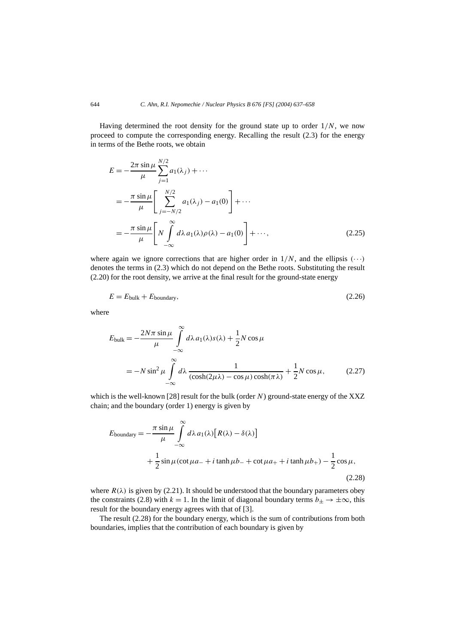Having determined the root density for the ground state up to order 1*/N*, we now proceed to compute the corresponding energy. Recalling the result (2.3) for the energy in terms of the Bethe roots, we obtain

$$
E = -\frac{2\pi \sin \mu}{\mu} \sum_{j=1}^{N/2} a_1(\lambda_j) + \cdots
$$
  
= 
$$
-\frac{\pi \sin \mu}{\mu} \left[ \sum_{j=-N/2}^{N/2} a_1(\lambda_j) - a_1(0) \right] + \cdots
$$
  
= 
$$
-\frac{\pi \sin \mu}{\mu} \left[ N \int_{-\infty}^{\infty} d\lambda a_1(\lambda) \rho(\lambda) - a_1(0) \right] + \cdots,
$$
 (2.25)

where again we ignore corrections that are higher order in  $1/N$ , and the ellipsis  $(··)$ denotes the terms in (2.3) which do not depend on the Bethe roots. Substituting the result (2.20) for the root density, we arrive at the final result for the ground-state energy

$$
E = E_{\text{bulk}} + E_{\text{boundary}},\tag{2.26}
$$

where

$$
E_{\text{bulk}} = -\frac{2N\pi \sin \mu}{\mu} \int_{-\infty}^{\infty} d\lambda a_1(\lambda) s(\lambda) + \frac{1}{2} N \cos \mu
$$
  
=  $-N \sin^2 \mu \int_{-\infty}^{\infty} d\lambda \frac{1}{(\cosh(2\mu\lambda) - \cos\mu)\cosh(\pi\lambda)} + \frac{1}{2} N \cos\mu,$  (2.27)

which is the well-known [28] result for the bulk (order *N*) ground-state energy of the XXZ chain; and the boundary (order 1) energy is given by

$$
E_{\text{boundary}} = -\frac{\pi \sin \mu}{\mu} \int_{-\infty}^{\infty} d\lambda a_1(\lambda) [R(\lambda) - \delta(\lambda)]
$$
  
+  $\frac{1}{2} \sin \mu (\cot \mu a_- + i \tanh \mu b_- + \cot \mu a_+ + i \tanh \mu b_+) - \frac{1}{2} \cos \mu,$  (2.28)

where  $R(\lambda)$  is given by (2.21). It should be understood that the boundary parameters obey the constraints (2.8) with  $k = 1$ . In the limit of diagonal boundary terms  $b_{+} \rightarrow \pm \infty$ , this result for the boundary energy agrees with that of [3].

The result (2.28) for the boundary energy, which is the sum of contributions from both boundaries, implies that the contribution of each boundary is given by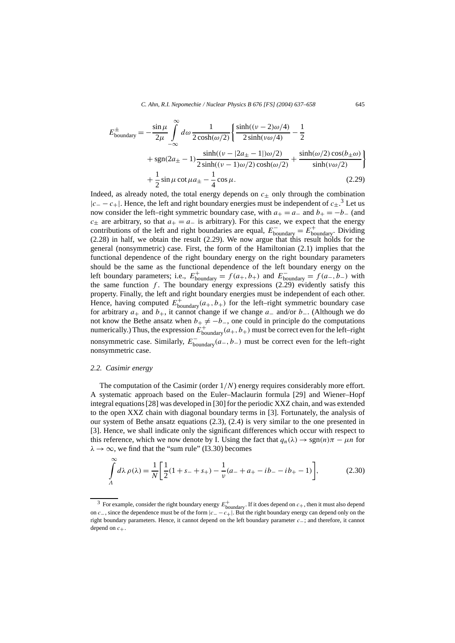$$
E_{\text{boundary}}^{\pm} = -\frac{\sin \mu}{2\mu} \int_{-\infty}^{\infty} d\omega \frac{1}{2 \cosh(\omega/2)} \left\{ \frac{\sinh((\nu - 2)\omega/4)}{2 \sinh(\nu\omega/4)} - \frac{1}{2} \right. \\ \left. + \operatorname{sgn}(2a_{\pm} - 1) \frac{\sinh((\nu - |2a_{\pm} - 1|)\omega/2)}{2 \sinh((\nu - 1)\omega/2)\cosh(\omega/2)} + \frac{\sinh(\omega/2)\cos(b_{\pm}\omega)}{\sinh(\nu\omega/2)} \right\} \\ + \frac{1}{2} \sin \mu \cot \mu a_{\pm} - \frac{1}{4} \cos \mu. \tag{2.29}
$$

Indeed, as already noted, the total energy depends on  $c_{\pm}$  only through the combination |*c*<sup>−</sup> − *c*+|. Hence, the left and right boundary energies must be independent of *c*±. <sup>3</sup> Let us now consider the left–right symmetric boundary case, with  $a_{+} = a_{-}$  and  $b_{+} = -b_{-}$  (and  $c_{\pm}$  are arbitrary, so that  $a_{+} = a_{-}$  is arbitrary). For this case, we expect that the energy contributions of the left and right boundaries are equal,  $E_{\text{boundary}}^- = E_{\text{boundary}}^+$ . Dividing (2.28) in half, we obtain the result (2.29). We now argue that this result holds for the general (nonsymmetric) case. First, the form of the Hamiltonian (2.1) implies that the functional dependence of the right boundary energy on the right boundary parameters should be the same as the functional dependence of the left boundary energy on the left boundary parameters; i.e.,  $E_{\text{boundary}}^+ = f(a_+, b_+)$  and  $E_{\text{boundary}}^- = f(a_-, b_-)$  with the same function  $f$ . The boundary energy expressions  $(2.29)$  evidently satisfy this property. Finally, the left and right boundary energies must be independent of each other. Hence, having computed  $E_{\text{boundary}}^+(a_+,b_+)$  for the left–right symmetric boundary case for arbitrary *a*+ and *b*+, it cannot change if we change *a*− and/or *b*−. (Although we do not know the Bethe ansatz when  $b_+ \neq -b_$ , one could in principle do the computations numerically.) Thus, the expression  $E_{\text{boundary}}^+(a_+, b_+)$  must be correct even for the left–right nonsymmetric case. Similarly,  $E_{\text{boundary}}^{-}(a_-, b_-)$  must be correct even for the left–right nonsymmetric case.

#### *2.2. Casimir energy*

The computation of the Casimir (order 1*/N*) energy requires considerably more effort. A systematic approach based on the Euler–Maclaurin formula [29] and Wiener–Hopf integral equations [28] was developed in [30] for the periodic XXZ chain, and was extended to the open XXZ chain with diagonal boundary terms in [3]. Fortunately, the analysis of our system of Bethe ansatz equations (2.3), (2.4) is very similar to the one presented in [3]. Hence, we shall indicate only the significant differences which occur with respect to this reference, which we now denote by I. Using the fact that  $q_n(\lambda) \to \text{sgn}(n)\pi - \mu n$  for  $\lambda \rightarrow \infty$ , we find that the "sum rule" (I3.30) becomes

$$
\int_{A}^{\infty} d\lambda \, \rho(\lambda) = \frac{1}{N} \bigg[ \frac{1}{2} (1 + s_{-} + s_{+}) - \frac{1}{\nu} (a_{-} + a_{+} - ib_{-} - ib_{+} - 1) \bigg],\tag{2.30}
$$

<sup>&</sup>lt;sup>3</sup> For example, consider the right boundary energy  $E_{\text{boundary}}^+$ . If it does depend on  $c_+$ , then it must also depend on *c*−, since the dependence must be of the form |*c*− −*c*+|. But the right boundary energy can depend only on the right boundary parameters. Hence, it cannot depend on the left boundary parameter *c*−; and therefore, it cannot depend on  $c_+$ .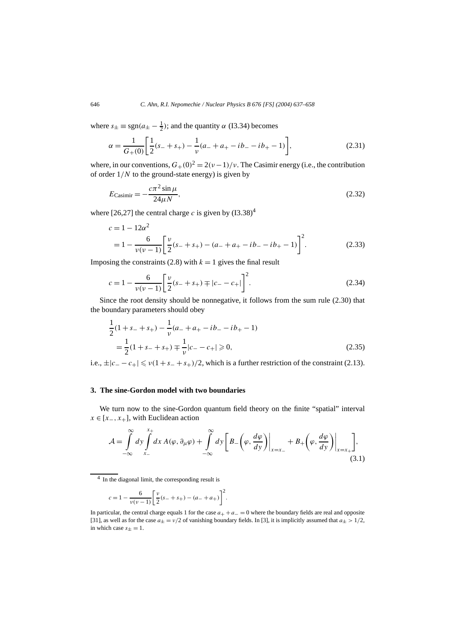where  $s_{\pm} \equiv \text{sgn}(a_{\pm} - \frac{1}{2})$ ; and the quantity  $\alpha$  (I3.34) becomes

$$
\alpha = \frac{1}{G_{+}(0)} \left[ \frac{1}{2}(s_{-} + s_{+}) - \frac{1}{\nu}(a_{-} + a_{+} - ib_{-} - ib_{+} - 1) \right],\tag{2.31}
$$

where, in our conventions,  $G_{+}(0)^{2} = 2(\nu-1)/\nu$ . The Casimir energy (i.e., the contribution of order 1*/N* to the ground-state energy) is given by

$$
E_{\text{Casimir}} = -\frac{c\pi^2 \sin \mu}{24\mu N},\tag{2.32}
$$

where [26,27] the central charge *c* is given by  $(13.38)^4$ 

$$
c = 1 - 12\alpha^2
$$
  
=  $1 - \frac{6}{\nu(\nu - 1)} \left[ \frac{\nu}{2} (s_{-} + s_{+}) - (a_{-} + a_{+} - ib_{-} - ib_{+} - 1) \right]^2$ . (2.33)

Imposing the constraints (2.8) with  $k = 1$  gives the final result

$$
c = 1 - \frac{6}{\nu(\nu - 1)} \left[ \frac{\nu}{2} (s_{-} + s_{+}) \mp |c_{-} - c_{+}| \right]^{2}.
$$
 (2.34)

Since the root density should be nonnegative, it follows from the sum rule (2.30) that the boundary parameters should obey

$$
\frac{1}{2}(1+s_{-}+s_{+}) - \frac{1}{\nu}(a_{-}+a_{+}-ib_{-}-ib_{+}-1)
$$
\n
$$
= \frac{1}{2}(1+s_{-}+s_{+}) + \frac{1}{\nu}|c_{-}-c_{+}| \geq 0,
$$
\n(2.35)

i.e.,  $\pm |c_--c_+| \leq v(1+s_-+s_+)/2$ , which is a further restriction of the constraint (2.13).

# **3. The sine-Gordon model with two boundaries**

We turn now to the sine-Gordon quantum field theory on the finite "spatial" interval  $x \in [x_-, x_+]$ , with Euclidean action

$$
\mathcal{A} = \int_{-\infty}^{\infty} dy \int_{x_{-}}^{x_{+}} dx A(\varphi, \partial_{\mu}\varphi) + \int_{-\infty}^{\infty} dy \left[ B_{-}\left(\varphi, \frac{d\varphi}{dy}\right) \Big|_{x=x_{-}} + B_{+}\left(\varphi, \frac{d\varphi}{dy}\right) \Big|_{x=x_{+}} \right],
$$
\n(3.1)

$$
c = 1 - \frac{6}{v(v-1)} \left[ \frac{v}{2} (s_- + s_+) - (a_- + a_+) \right]^2.
$$

In particular, the central charge equals 1 for the case  $a_+ + a_-=0$  where the boundary fields are real and opposite [31], as well as for the case  $a_{\pm} = v/2$  of vanishing boundary fields. In [3], it is implicitly assumed that  $a_{\pm} > 1/2$ , in which case  $s_{\pm} = 1$ .

<sup>4</sup> In the diagonal limit, the corresponding result is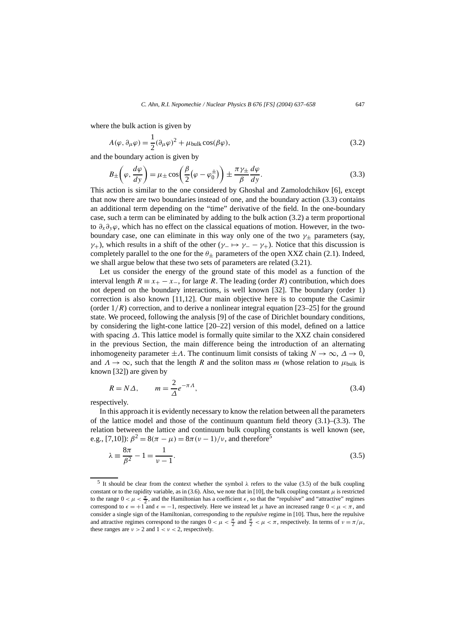where the bulk action is given by

$$
A(\varphi, \partial_{\mu}\varphi) = \frac{1}{2}(\partial_{\mu}\varphi)^{2} + \mu_{\text{bulk}}\cos(\beta\varphi),
$$
\n(3.2)

and the boundary action is given by

$$
B_{\pm}\left(\varphi,\frac{d\varphi}{dy}\right) = \mu_{\pm}\cos\left(\frac{\beta}{2}\left(\varphi-\varphi_0^{\pm}\right)\right) \pm \frac{\pi\gamma_{\pm}}{\beta}\frac{d\varphi}{dy}.
$$
\n(3.3)

This action is similar to the one considered by Ghoshal and Zamolodchikov [6], except that now there are two boundaries instead of one, and the boundary action (3.3) contains an additional term depending on the "time" derivative of the field. In the one-boundary case, such a term can be eliminated by adding to the bulk action (3.2) a term proportional to *∂x∂yϕ*, which has no effect on the classical equations of motion. However, in the twoboundary case, one can eliminate in this way only one of the two  $\gamma_{\pm}$  parameters (say, *γ*+), which results in a shift of the other (*γ*−  $\mapsto$  *γ*− − *γ*+). Notice that this discussion is completely parallel to the one for the  $\theta$ + parameters of the open XXZ chain (2.1). Indeed, we shall argue below that these two sets of parameters are related (3.21).

Let us consider the energy of the ground state of this model as a function of the interval length  $R \equiv x_+ - x_-$ , for large R. The leading (order R) contribution, which does not depend on the boundary interactions, is well known [32]. The boundary (order 1) correction is also known [11,12]. Our main objective here is to compute the Casimir (order  $1/R$ ) correction, and to derive a nonlinear integral equation  $[23–25]$  for the ground state. We proceed, following the analysis [9] of the case of Dirichlet boundary conditions, by considering the light-cone lattice [20–22] version of this model, defined on a lattice with spacing *∆*. This lattice model is formally quite similar to the XXZ chain considered in the previous Section, the main difference being the introduction of an alternating inhomogeneity parameter  $\pm \Lambda$ . The continuum limit consists of taking  $N \to \infty$ ,  $\Delta \to 0$ , and  $\Lambda \to \infty$ , such that the length *R* and the soliton mass *m* (whose relation to  $\mu_{\text{bulk}}$  is known [32]) are given by

$$
R = N\Delta, \qquad m = \frac{2}{\Delta}e^{-\pi\Lambda}, \tag{3.4}
$$

respectively.

In this approach it is evidently necessary to know the relation between all the parameters of the lattice model and those of the continuum quantum field theory  $(3.1)$ – $(3.3)$ . The relation between the lattice and continuum bulk coupling constants is well known (see, e.g., [7,10]):  $\beta^2 = 8(\pi - \mu) = 8\pi(\nu - 1)/\nu$ , and therefore<sup>5</sup>

$$
\lambda = \frac{8\pi}{\beta^2} - 1 = \frac{1}{\nu - 1}.
$$
\n(3.5)

<sup>&</sup>lt;sup>5</sup> It should be clear from the context whether the symbol  $\lambda$  refers to the value (3.5) of the bulk coupling constant or to the rapidity variable, as in (3.6). Also, we note that in [10], the bulk coupling constant  $\mu$  is restricted to the range  $0 < \mu < \frac{\pi}{2}$ , and the Hamiltonian has a coefficient  $\epsilon$ , so that the "repulsive" and "attractive" regimes correspond to  $\epsilon = +1$  and  $\epsilon = -1$ , respectively. Here we instead let  $\mu$  have an increased range  $0 < \mu < \pi$ , and consider a single sign of the Hamiltonian, corresponding to the *repulsive* regime in [10]. Thus, here the repulsive and attractive regimes correspond to the ranges  $0 < \mu < \frac{\pi}{2}$  and  $\frac{\pi}{2} < \mu < \pi$ , respectively. In terms of  $\nu = \pi/\mu$ , these ranges are  $\nu > 2$  and  $1 < \nu < 2$ , respectively.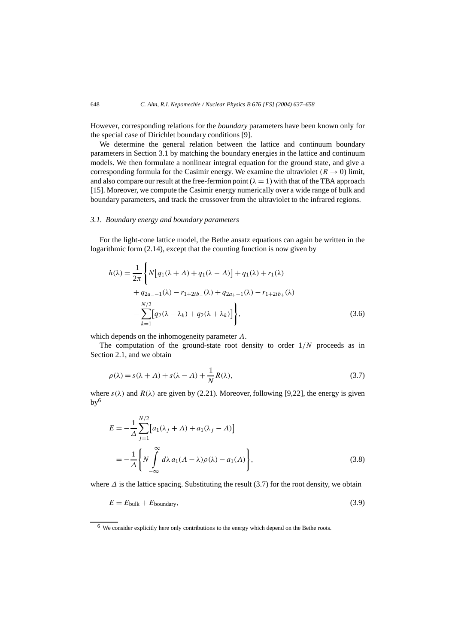However, corresponding relations for the *boundary* parameters have been known only for the special case of Dirichlet boundary conditions [9].

We determine the general relation between the lattice and continuum boundary parameters in Section 3.1 by matching the boundary energies in the lattice and continuum models. We then formulate a nonlinear integral equation for the ground state, and give a corresponding formula for the Casimir energy. We examine the ultraviolet  $(R \rightarrow 0)$  limit, and also compare our result at the free-fermion point  $(\lambda = 1)$  with that of the TBA approach [15]. Moreover, we compute the Casimir energy numerically over a wide range of bulk and boundary parameters, and track the crossover from the ultraviolet to the infrared regions.

# *3.1. Boundary energy and boundary parameters*

For the light-cone lattice model, the Bethe ansatz equations can again be written in the logarithmic form (2.14), except that the counting function is now given by

$$
h(\lambda) = \frac{1}{2\pi} \left\{ N \Big[ q_1(\lambda + \Lambda) + q_1(\lambda - \Lambda) \Big] + q_1(\lambda) + r_1(\lambda) + q_{2a-1}(\lambda) - r_{1+2ib}(\lambda) + q_{2a-1}(\lambda) - r_{1+2ib}(\lambda) - \sum_{k=1}^{N/2} \Big[ q_2(\lambda - \lambda_k) + q_2(\lambda + \lambda_k) \Big] \right\},
$$
\n(3.6)

which depends on the inhomogeneity parameter *Λ*.

The computation of the ground-state root density to order 1*/N* proceeds as in Section 2.1, and we obtain

$$
\rho(\lambda) = s(\lambda + \Lambda) + s(\lambda - \Lambda) + \frac{1}{N}R(\lambda),\tag{3.7}
$$

where  $s(\lambda)$  and  $R(\lambda)$  are given by (2.21). Moreover, following [9,22], the energy is given  $bv^6$ 

$$
E = -\frac{1}{\Delta} \sum_{j=1}^{N/2} [a_1(\lambda_j + \Lambda) + a_1(\lambda_j - \Lambda)]
$$
  
= 
$$
-\frac{1}{\Delta} \left\{ N \int_{-\infty}^{\infty} d\lambda \, a_1(\Lambda - \lambda) \rho(\lambda) - a_1(\Lambda) \right\},
$$
 (3.8)

where *∆* is the lattice spacing. Substituting the result (3.7) for the root density, we obtain

$$
E = E_{\text{bulk}} + E_{\text{boundary}},\tag{3.9}
$$

<sup>6</sup> We consider explicitly here only contributions to the energy which depend on the Bethe roots.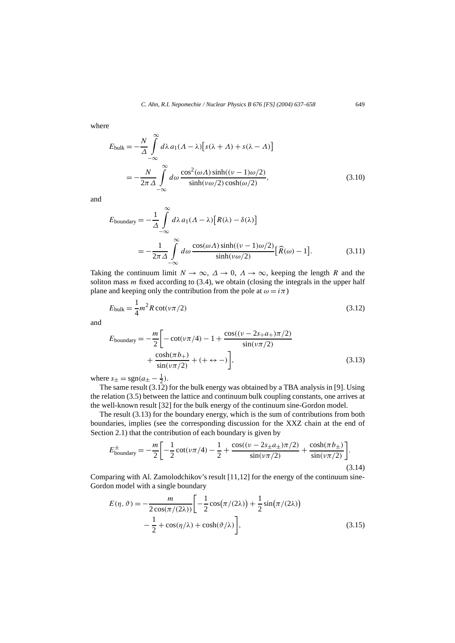where

$$
E_{\text{bulk}} = -\frac{N}{\Delta} \int_{-\infty}^{\infty} d\lambda \, a_1 (\Lambda - \lambda) \left[ s(\lambda + \Lambda) + s(\lambda - \Lambda) \right]
$$
\n
$$
= -\frac{N}{2\pi \Delta} \int_{-\infty}^{\infty} d\omega \, \frac{\cos^2(\omega \Lambda) \sinh((\nu - 1)\omega/2)}{\sinh(\nu \omega/2) \cosh(\omega/2)},\tag{3.10}
$$

and

$$
E_{\text{boundary}} = -\frac{1}{\Delta} \int_{-\infty}^{\infty} d\lambda \, a_1 (\Lambda - \lambda) [R(\lambda) - \delta(\lambda)]
$$
  
= 
$$
-\frac{1}{2\pi \Delta} \int_{-\infty}^{\infty} d\omega \, \frac{\cos(\omega \Lambda) \sinh((\nu - 1)\omega/2)}{\sinh(\nu \omega/2)} [\widehat{R}(\omega) - 1]. \tag{3.11}
$$

Taking the continuum limit  $N \to \infty$ ,  $\Delta \to 0$ ,  $\Lambda \to \infty$ , keeping the length R and the soliton mass *m* fixed according to (3.4), we obtain (closing the integrals in the upper half plane and keeping only the contribution from the pole at  $\omega = i\pi$ )

$$
E_{\text{bulk}} = \frac{1}{4}m^2 R \cot(\nu \pi/2) \tag{3.12}
$$

and

$$
E_{\text{boundary}} = -\frac{m}{2} \left[ -\cot(\nu \pi/4) - 1 + \frac{\cos((\nu - 2s_+ a_+) \pi/2)}{\sin(\nu \pi/2)} + \frac{\cosh(\pi b_+)}{\sin(\nu \pi/2)} + (+ \leftrightarrow -) \right],\tag{3.13}
$$

where  $s_{\pm} = \text{sgn}(a_{\pm} - \frac{1}{2})$ .

The same result (3.12) for the bulk energy was obtained by a TBA analysis in [9]. Using the relation (3.5) between the lattice and continuum bulk coupling constants, one arrives at the well-known result [32] for the bulk energy of the continuum sine-Gordon model.

The result (3.13) for the boundary energy, which is the sum of contributions from both boundaries, implies (see the corresponding discussion for the XXZ chain at the end of Section 2.1) that the contribution of each boundary is given by

$$
E_{\text{boundary}}^{\pm} = -\frac{m}{2} \left[ -\frac{1}{2} \cot(\nu \pi/4) - \frac{1}{2} + \frac{\cos((\nu - 2s_{\pm}a_{\pm})\pi/2)}{\sin(\nu \pi/2)} + \frac{\cosh(\pi b_{\pm})}{\sin(\nu \pi/2)} \right].
$$
\n(3.14)

Comparing with Al. Zamolodchikov's result  $[11,12]$  for the energy of the continuum sine-Gordon model with a single boundary

$$
E(\eta, \vartheta) = -\frac{m}{2\cos(\pi/(2\lambda))} \left[ -\frac{1}{2}\cos(\pi/(2\lambda)) + \frac{1}{2}\sin(\pi/(2\lambda)) - \frac{1}{2} + \cos(\eta/\lambda) + \cosh(\vartheta/\lambda) \right],
$$
\n(3.15)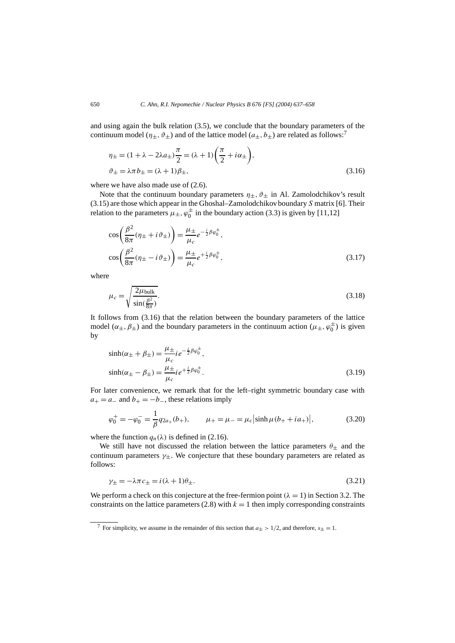and using again the bulk relation (3.5), we conclude that the boundary parameters of the continuum model ( $\eta_+$ ,  $\vartheta_+$ ) and of the lattice model ( $a_+$ ,  $b_+$ ) are related as follows:<sup>7</sup>

$$
\eta_{\pm} = (1 + \lambda - 2\lambda a_{\pm}) \frac{\pi}{2} = (\lambda + 1) \left( \frac{\pi}{2} + i\alpha_{\pm} \right),
$$
  

$$
\vartheta_{\pm} = \lambda \pi b_{\pm} = (\lambda + 1)\beta_{\pm},
$$
 (3.16)

where we have also made use of  $(2.6)$ .

Note that the continuum boundary parameters  $\eta_{\pm}$ ,  $\vartheta_{\pm}$  in Al. Zamolodchikov's result (3.15) are those which appear in the Ghoshal–Zamolodchikov boundary *S* matrix [6]. Their relation to the parameters  $\mu_{\pm}$ ,  $\varphi_0^{\pm}$  in the boundary action (3.3) is given by [11,12]

$$
\cos\left(\frac{\beta^2}{8\pi}(\eta_{\pm} + i\vartheta_{\pm})\right) = \frac{\mu_{\pm}}{\mu_c} e^{-\frac{i}{2}\beta\varphi_0^{\pm}},
$$
  

$$
\cos\left(\frac{\beta^2}{8\pi}(\eta_{\pm} - i\vartheta_{\pm})\right) = \frac{\mu_{\pm}}{\mu_c} e^{+\frac{i}{2}\beta\varphi_0^{\pm}},
$$
(3.17)

where

$$
\mu_c = \sqrt{\frac{2\mu_{\text{bulk}}}{\sin(\frac{\beta^2}{8\pi})}}.
$$
\n(3.18)

It follows from (3.16) that the relation between the boundary parameters of the lattice model ( $\alpha_{\pm}, \beta_{\pm}$ ) and the boundary parameters in the continuum action ( $\mu_{\pm}, \varphi_0^{\pm}$ ) is given by

$$
\sinh(\alpha_{\pm} + \beta_{\pm}) = \frac{\mu_{\pm}}{\mu_{c}} i e^{-\frac{i}{2}\beta\varphi_{0}^{\pm}},
$$
  
\n
$$
\sinh(\alpha_{\pm} - \beta_{\pm}) = \frac{\mu_{\pm}}{\mu_{c}} i e^{+\frac{i}{2}\beta\varphi_{0}^{\pm}}.
$$
\n(3.19)

For later convenience, we remark that for the left–right symmetric boundary case with  $a_+ = a_-$  and  $b_+ = -b_-$ , these relations imply

$$
\varphi_0^+ = -\varphi_0^- = \frac{1}{\beta} q_{2a_+}(b_+), \qquad \mu_+ = \mu_- = \mu_c |\sinh \mu (b_+ + ia_+)|,\tag{3.20}
$$

where the function  $q_n(\lambda)$  is defined in (2.16).

We still have not discussed the relation between the lattice parameters  $\theta_{\pm}$  and the continuum parameters *γ*±. We conjecture that these boundary parameters are related as follows:

$$
\gamma_{\pm} = -\lambda \pi c_{\pm} = i(\lambda + 1)\theta_{\pm}.
$$
\n(3.2)

We perform a check on this conjecture at the free-fermion point  $(\lambda = 1)$  in Section 3.2. The constraints on the lattice parameters  $(2.8)$  with  $k = 1$  then imply corresponding constraints

<sup>&</sup>lt;sup>7</sup> For simplicity, we assume in the remainder of this section that  $a_{\pm} > 1/2$ , and therefore,  $s_{\pm} = 1$ .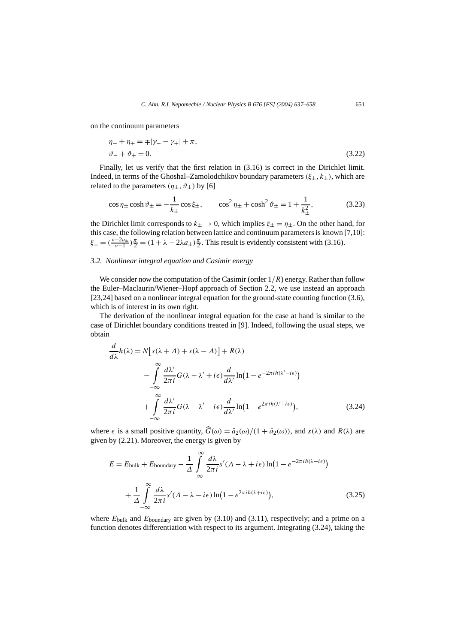on the continuum parameters

$$
\eta_{-} + \eta_{+} = \pm |\gamma_{-} - \gamma_{+}| + \pi,
$$
  
\n
$$
\vartheta_{-} + \vartheta_{+} = 0.
$$
\n(3.22)

Finally, let us verify that the first relation in (3.16) is correct in the Dirichlet limit. Indeed, in terms of the Ghoshal–Zamolodchikov boundary parameters  $(\xi_{\pm}, k_{\pm})$ , which are related to the parameters  $(\eta_{\pm}, \vartheta_{\pm})$  by [6]

$$
\cos \eta_{\pm} \cosh \vartheta_{\pm} = -\frac{1}{k_{\pm}} \cos \xi_{\pm}, \qquad \cos^2 \eta_{\pm} + \cosh^2 \vartheta_{\pm} = 1 + \frac{1}{k_{\pm}^2}, \tag{3.23}
$$

the Dirichlet limit corresponds to  $k_{\pm} \rightarrow 0$ , which implies  $\xi_{\pm} = \eta_{\pm}$ . On the other hand, for this case, the following relation between lattice and continuum parameters is known [7,10]:  $\xi_{\pm} = (\frac{v-2a_{\pm}}{v-1})\frac{\pi}{2} = (1 + \lambda - 2\lambda a_{\pm})\frac{\pi}{2}$ . This result is evidently consistent with (3.16).

# *3.2. Nonlinear integral equation and Casimir energy*

We consider now the computation of the Casimir (order  $1/R$ ) energy. Rather than follow the Euler–Maclaurin/Wiener–Hopf approach of Section 2.2, we use instead an approach [23,24] based on a nonlinear integral equation for the ground-state counting function (3.6), which is of interest in its own right.

The derivation of the nonlinear integral equation for the case at hand is similar to the case of Dirichlet boundary conditions treated in [9]. Indeed, following the usual steps, we obtain

$$
\frac{d}{d\lambda}h(\lambda) = N[s(\lambda + \Lambda) + s(\lambda - \Lambda)] + R(\lambda)
$$

$$
- \int_{-\infty}^{\infty} \frac{d\lambda'}{2\pi i} G(\lambda - \lambda' + i\epsilon) \frac{d}{d\lambda'} \ln(1 - e^{-2\pi i h(\lambda' - i\epsilon)})
$$

$$
+ \int_{-\infty}^{\infty} \frac{d\lambda'}{2\pi i} G(\lambda - \lambda' - i\epsilon) \frac{d}{d\lambda'} \ln(1 - e^{2\pi i h(\lambda' + i\epsilon)}), \tag{3.24}
$$

where  $\epsilon$  is a small positive quantity,  $\hat{G}(\omega) = \hat{a}_2(\omega)/(1 + \hat{a}_2(\omega))$ , and  $s(\lambda)$  and  $R(\lambda)$  are given by (2.21). Moreover, the energy is given by

$$
E = E_{\text{bulk}} + E_{\text{boundary}} - \frac{1}{\Delta} \int_{-\infty}^{\infty} \frac{d\lambda}{2\pi i} s'(\Lambda - \lambda + i\epsilon) \ln(1 - e^{-2\pi i h(\lambda - i\epsilon)}) + \frac{1}{\Delta} \int_{-\infty}^{\infty} \frac{d\lambda}{2\pi i} s'(\Lambda - \lambda - i\epsilon) \ln(1 - e^{2\pi i h(\lambda + i\epsilon)}),
$$
(3.25)

where  $E_{\text{bulk}}$  and  $E_{\text{boundary}}$  are given by (3.10) and (3.11), respectively; and a prime on a function denotes differentiation with respect to its argument. Integrating (3.24), taking the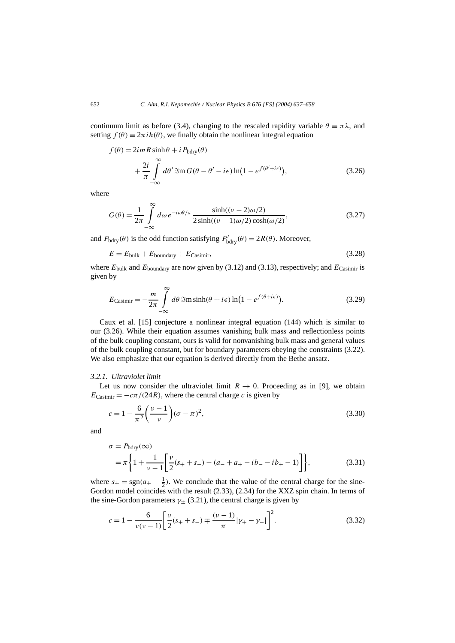continuum limit as before (3.4), changing to the rescaled rapidity variable  $\theta = \pi \lambda$ , and setting  $f(\theta) \equiv 2\pi i h(\theta)$ , we finally obtain the nonlinear integral equation

$$
f(\theta) = 2imR \sinh \theta + i P_{\text{bdry}}(\theta)
$$
  
+ 
$$
\frac{2i}{\pi} \int_{-\infty}^{\infty} d\theta' \Im \pi G(\theta - \theta' - i\epsilon) \ln(1 - e^{f(\theta' + i\epsilon)}),
$$
 (3.26)

where

$$
G(\theta) = \frac{1}{2\pi} \int_{-\infty}^{\infty} d\omega \, e^{-i\omega\theta/\pi} \frac{\sinh((\nu - 2)\omega/2)}{2\sinh((\nu - 1)\omega/2)\cosh(\omega/2)},
$$
\n(3.27)

and  $P_{\text{bdry}}(\theta)$  is the odd function satisfying  $P'_{\text{bdry}}(\theta) = 2R(\theta)$ . Moreover,

 $E = E_{\text{bulk}} + E_{\text{boundary}} + E_{\text{Casimir}}$ , (3.28)

where *E*bulk and *E*boundary are now given by (3.12) and (3.13), respectively; and *E*Casimir is given by

$$
E_{\text{Casimir}} = -\frac{m}{2\pi} \int_{-\infty}^{\infty} d\theta \, \Im \text{m} \sinh(\theta + i\epsilon) \ln\left(1 - e^{f(\theta + i\epsilon)}\right). \tag{3.29}
$$

Caux et al. [15] conjecture a nonlinear integral equation (144) which is similar to our (3.26). While their equation assumes vanishing bulk mass and reflectionless points of the bulk coupling constant, ours is valid for nonvanishing bulk mass and general values of the bulk coupling constant, but for boundary parameters obeying the constraints (3.22). We also emphasize that our equation is derived directly from the Bethe ansatz.

#### *3.2.1. Ultraviolet limit*

Let us now consider the ultraviolet limit  $R \to 0$ . Proceeding as in [9], we obtain  $E_{\text{Casimir}} = -c\pi/(24R)$ , where the central charge *c* is given by

$$
c = 1 - \frac{6}{\pi^2} \left( \frac{v - 1}{v} \right) (\sigma - \pi)^2,
$$
\n(3.30)

and

$$
\sigma = P_{\text{bdry}}(\infty)
$$
  
=  $\pi \left\{ 1 + \frac{1}{\nu - 1} \left[ \frac{\nu}{2} (s_+ + s_-) - (a_- + a_+ - ib_- - ib_+ - 1) \right] \right\},$  (3.31)

where  $s_{\pm} = \text{sgn}(a_{\pm} - \frac{1}{2})$ . We conclude that the value of the central charge for the sine-Gordon model coincides with the result (2.33), (2.34) for the XXZ spin chain. In terms of the sine-Gordon parameters  $\gamma_{\pm}$  (3.21), the central charge is given by

$$
c = 1 - \frac{6}{\nu(\nu - 1)} \left[ \frac{\nu}{2} (s_+ + s_-) \mp \frac{(\nu - 1)}{\pi} |\gamma_+ - \gamma_-| \right]^2.
$$
 (3.32)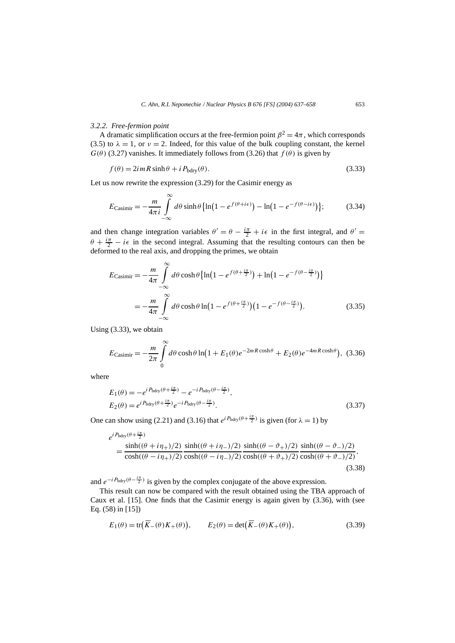#### *3.2.2. Free-fermion point*

A dramatic simplification occurs at the free-fermion point  $\beta^2 = 4\pi$ , which corresponds (3.5) to  $\lambda = 1$ , or  $\nu = 2$ . Indeed, for this value of the bulk coupling constant, the kernel  $G(\theta)$  (3.27) vanishes. It immediately follows from (3.26) that  $f(\theta)$  is given by

$$
f(\theta) = 2imR\sinh\theta + iP_{\text{bdry}}(\theta). \tag{3.33}
$$

Let us now rewrite the expression (3.29) for the Casimir energy as

$$
E_{\text{Casimir}} = -\frac{m}{4\pi i} \int\limits_{-\infty}^{\infty} d\theta \sinh\theta \left\{ \ln\left(1 - e^{f(\theta + i\epsilon)}\right) - \ln\left(1 - e^{-f(\theta - i\epsilon)}\right) \right\};\tag{3.34}
$$

and then change integration variables  $\theta' = \theta - \frac{i\pi}{2} + i\epsilon$  in the first integral, and  $\theta' =$  $\theta + \frac{i\pi}{2} - i\epsilon$  in the second integral. Assuming that the resulting contours can then be deformed to the real axis, and dropping the primes, we obtain

$$
E_{\text{Casimir}} = -\frac{m}{4\pi} \int_{-\infty}^{\infty} d\theta \cosh\theta \left\{ \ln\left(1 - e^{f(\theta + \frac{i\pi}{2})}\right) + \ln\left(1 - e^{-f(\theta - \frac{i\pi}{2})}\right) \right\}
$$

$$
= -\frac{m}{4\pi} \int_{-\infty}^{\infty} d\theta \cosh\theta \ln\left(1 - e^{f(\theta + \frac{i\pi}{2})}\right) \left(1 - e^{-f(\theta - \frac{i\pi}{2})}\right). \tag{3.35}
$$

Using (3.33), we obtain

$$
E_{\text{Casimir}} = -\frac{m}{2\pi} \int_{0}^{\infty} d\theta \cosh\theta \ln\left(1 + E_1(\theta)e^{-2mR\cosh\theta} + E_2(\theta)e^{-4mR\cosh\theta}\right), (3.36)
$$

where

$$
E_1(\theta) = -e^{iP_{\text{bdry}}(\theta + \frac{i\pi}{2})} - e^{-iP_{\text{bdry}}(\theta - \frac{i\pi}{2})},
$$
  
\n
$$
E_2(\theta) = e^{iP_{\text{bdry}}(\theta + \frac{i\pi}{2})}e^{-iP_{\text{bdry}}(\theta - \frac{i\pi}{2})}.
$$
\n(3.37)

One can show using (2.21) and (3.16) that  $e^{iP_{\text{bdry}}(\theta + \frac{i\pi}{2})}$  is given (for  $\lambda = 1$ ) by

$$
e^{iP_{\text{bdry}}(\theta + \frac{i\pi}{2})}
$$
  
= 
$$
\frac{\sinh((\theta + i\eta_{+})/2)}{\cosh((\theta - i\eta_{+})/2)} \frac{\sinh((\theta + i\eta_{-})/2)}{\cosh((\theta - i\eta_{-})/2)} \frac{\sinh((\theta - \vartheta_{+})/2)}{\cosh((\theta + \vartheta_{+})/2)} \frac{\sinh((\theta - \vartheta_{-})/2)}{\cosh((\theta + \vartheta_{-})/2)},
$$
(3.38)

and  $e^{-iP_{\text{bdry}}(\theta - \frac{i\pi}{2})}$  is given by the complex conjugate of the above expression.

This result can now be compared with the result obtained using the TBA approach of Caux et al. [15]. One finds that the Casimir energy is again given by (3.36), with (see Eq. (58) in [15])

$$
E_1(\theta) = \text{tr}\big(\overline{K}_-(\theta)K_+(\theta)\big), \qquad E_2(\theta) = \text{det}\big(\overline{K}_-(\theta)K_+(\theta)\big), \tag{3.39}
$$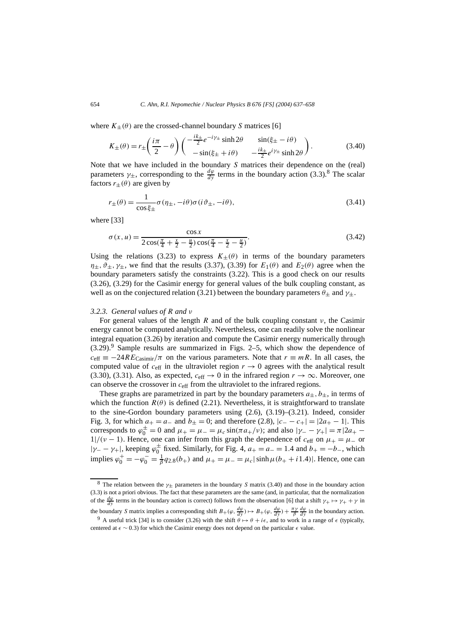where  $K_{+}(\theta)$  are the crossed-channel boundary *S* matrices [6]

$$
K_{\pm}(\theta) = r_{\pm} \left( \frac{i\pi}{2} - \theta \right) \begin{pmatrix} -\frac{ik_{\pm}}{2} e^{-i\gamma_{\pm}} \sinh 2\theta & \sin(\xi_{\pm} - i\theta) \\ -\sin(\xi_{\pm} + i\theta) & -\frac{ik_{\pm}}{2} e^{i\gamma_{\pm}} \sinh 2\theta \end{pmatrix}.
$$
 (3.40)

Note that we have included in the boundary *S* matrices their dependence on the (real) parameters  $\gamma_{\pm}$ , corresponding to the  $\frac{d\varphi}{dy}$  terms in the boundary action (3.3).<sup>8</sup> The scalar factors  $r_{\pm}(\theta)$  are given by

$$
r_{\pm}(\theta) = \frac{1}{\cos \xi_{\pm}} \sigma(\eta_{\pm}, -i\theta) \sigma(i\vartheta_{\pm}, -i\theta), \qquad (3.41)
$$

where [33]

$$
\sigma(x, u) = \frac{\cos x}{2\cos(\frac{\pi}{4} + \frac{x}{2} - \frac{u}{2})\cos(\frac{\pi}{4} - \frac{x}{2} - \frac{u}{2})}.
$$
\n(3.42)

Using the relations (3.23) to express  $K_{+}(\theta)$  in terms of the boundary parameters  $\eta_{\pm}$ ,  $\vartheta_{\pm}$ ,  $\gamma_{\pm}$ , we find that the results (3.37), (3.39) for  $E_1(\theta)$  and  $E_2(\theta)$  agree when the boundary parameters satisfy the constraints (3.22). This is a good check on our results (3.26), (3.29) for the Casimir energy for general values of the bulk coupling constant, as well as on the conjectured relation (3.21) between the boundary parameters  $\theta_{\pm}$  and  $\gamma_{\pm}$ .

#### *3.2.3. General values of R and ν*

For general values of the length *R* and of the bulk coupling constant *ν*, the Casimir energy cannot be computed analytically. Nevertheless, one can readily solve the nonlinear integral equation (3.26) by iteration and compute the Casimir energy numerically through  $(3.29)$ .<sup>9</sup> Sample results are summarized in Figs. 2–5, which show the dependence of  $c_{\text{eff}} = -24RE_{\text{Casimir}}/\pi$  on the various parameters. Note that  $r \equiv mR$ . In all cases, the computed value of  $c_{\text{eff}}$  in the ultraviolet region  $r \rightarrow 0$  agrees with the analytical result (3.30), (3.31). Also, as expected,  $c_{\text{eff}} \rightarrow 0$  in the infrared region  $r \rightarrow \infty$ . Moreover, one can observe the crossover in *c*eff from the ultraviolet to the infrared regions.

These graphs are parametrized in part by the boundary parameters  $a_{\pm}$ ,  $b_{\pm}$ , in terms of which the function  $R(\theta)$  is defined (2.21). Nevertheless, it is straightforward to translate to the sine-Gordon boundary parameters using (2.6), (3.19)–(3.21). Indeed, consider Fig. 3, for which  $a_{+} = a_{-}$  and  $b_{+} = 0$ ; and therefore (2.8),  $|c_{-} - c_{+}| = |2a_{+} - 1|$ . This corresponds to  $\varphi_0^{\pm} = 0$  and  $\mu_+ = \mu_- = \mu_c \sin(\pi a_+/v)$ ; and also  $|\gamma_- - \gamma_+| = \pi |2a_+ - \gamma_+|$  $1/(v-1)$ . Hence, one can infer from this graph the dependence of  $c_{\text{eff}}$  on  $\mu_{+} = \mu_{-}$  or  $|\gamma - \gamma_+|$ , keeping  $\varphi_0^{\pm}$  fixed. Similarly, for Fig. 4,  $a_+ = a_- = 1.4$  and  $b_+ = -b_-$ , which implies  $\varphi_0^+ = -\varphi_0^- = \frac{1}{\beta} q_{2.8}(b_+)$  and  $\mu_+ = \mu_- = \mu_c |\sinh \mu (b_+ + i1.4)|$ . Hence, one can

<sup>8</sup> The relation between the *γ*<sup>±</sup> parameters in the boundary *S* matrix (3.40) and those in the boundary action (3.3) is not a priori obvious. The fact that these parameters are the same (and, in particular, that the normalization of the  $\frac{d\varphi}{dy}$  terms in the boundary action is correct) follows from the observation [6] that a shift  $\gamma_+ \mapsto \gamma_+ + \gamma$  in the boundary *S* matrix implies a corresponding shift  $B_+(\varphi, \frac{d\varphi}{dy}) \mapsto B_+(\varphi, \frac{d\varphi}{dy}) + \frac{\pi \gamma}{\beta} \frac{d\varphi}{dy}$  in the boundary action.

<sup>&</sup>lt;sup>9</sup> A useful trick [34] is to consider (3.26) with the shift  $\theta \mapsto \theta + i\epsilon$ , and to work in a range of  $\epsilon$  (typically, centered at *4* ∼ 0*.*3) for which the Casimir energy does not depend on the particular *4* value.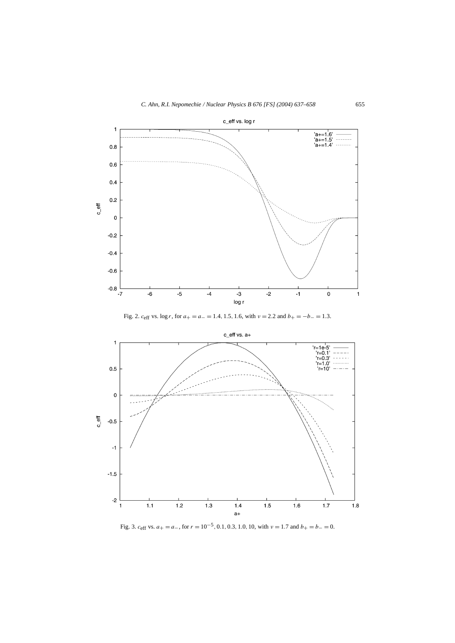

Fig. 2.  $c_{\text{eff}}$  vs.  $\log r$ , for  $a_{+} = a_{-} = 1.4, 1.5, 1.6$ , with  $v = 2.2$  and  $b_{+} = -b_{-} = 1.3$ .



Fig. 3. *<sup>c</sup>*eff vs. *<sup>a</sup>*<sup>+</sup> <sup>=</sup> *<sup>a</sup>*−, for *<sup>r</sup>* <sup>=</sup> <sup>10</sup>−5*,* <sup>0</sup>*.*1*,* <sup>0</sup>*.*3*,* <sup>1</sup>*.*0*,* 10, with *<sup>ν</sup>* <sup>=</sup> <sup>1</sup>*.*7 and *<sup>b</sup>*<sup>+</sup> <sup>=</sup> *<sup>b</sup>*<sup>−</sup> <sup>=</sup> 0.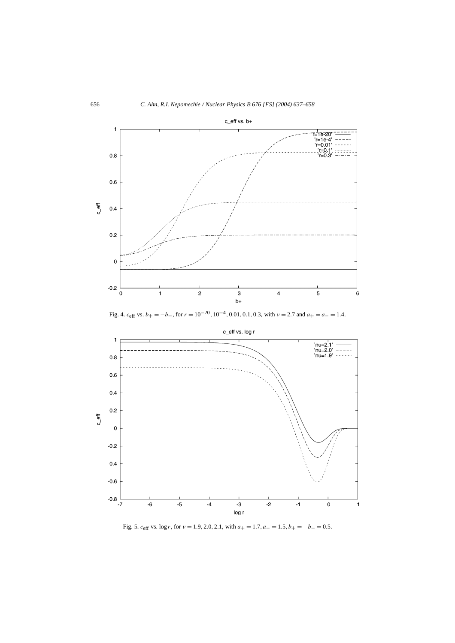

Fig. 4. *<sup>c</sup>*eff vs. *<sup>b</sup>*<sup>+</sup> = −*b*−, for *<sup>r</sup>* <sup>=</sup> <sup>10</sup>−20*,* <sup>10</sup>−4*,* <sup>0</sup>*.*01*,* <sup>0</sup>*.*1*,* <sup>0</sup>*.*3, with *<sup>ν</sup>* <sup>=</sup> <sup>2</sup>*.*7 and *<sup>a</sup>*<sup>+</sup> <sup>=</sup> *<sup>a</sup>*<sup>−</sup> <sup>=</sup> <sup>1</sup>*.*4.



Fig. 5. *c*eff vs. log *r*, for *ν* = 1*.*9*,* 2*.*0*,* 2*.*1, with *a*<sup>+</sup> = 1*.*7*, a*<sup>−</sup> = 1*.*5*, b*<sup>+</sup> = −*b*<sup>−</sup> = 0*.*5.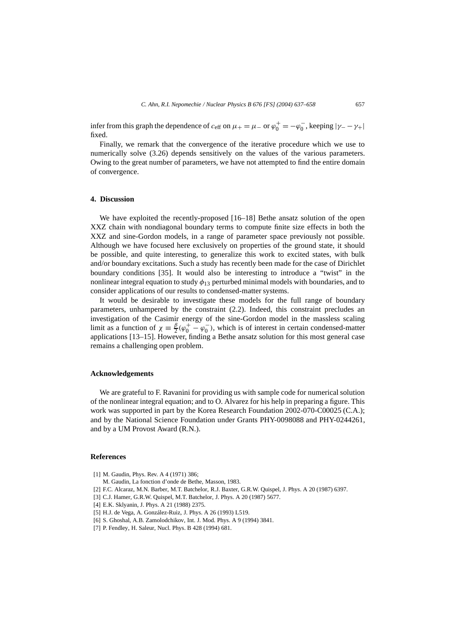infer from this graph the dependence of  $c_{\text{eff}}$  on  $\mu_+ = \mu_-$  or  $\varphi_0^+ = -\varphi_0^-$ , keeping  $|\gamma_- - \gamma_+|$ fixed.

Finally, we remark that the convergence of the iterative procedure which we use to numerically solve (3.26) depends sensitively on the values of the various parameters. Owing to the great number of parameters, we have not attempted to find the entire domain of convergence.

# **4. Discussion**

We have exploited the recently-proposed [16–18] Bethe ansatz solution of the open XXZ chain with nondiagonal boundary terms to compute finite size effects in both the XXZ and sine-Gordon models, in a range of parameter space previously not possible. Although we have focused here exclusively on properties of the ground state, it should be possible, and quite interesting, to generalize this work to excited states, with bulk and/or boundary excitations. Such a study has recently been made for the case of Dirichlet boundary conditions [35]. It would also be interesting to introduce a "twist" in the nonlinear integral equation to study *φ*<sup>13</sup> perturbed minimal models with boundaries, and to consider applications of our results to condensed-matter systems.

It would be desirable to investigate these models for the full range of boundary parameters, unhampered by the constraint (2.2). Indeed, this constraint precludes an investigation of the Casimir energy of the sine-Gordon model in the massless scaling limit as a function of  $\chi = \frac{\beta}{2}(\varphi_0^+ - \varphi_0^-)$ , which is of interest in certain condensed-matter applications [13–15]. However, finding a Bethe ansatz solution for this most general case remains a challenging open problem.

#### **Acknowledgements**

We are grateful to F. Ravanini for providing us with sample code for numerical solution of the nonlinear integral equation; and to O. Alvarez for his help in preparing a figure. This work was supported in part by the Korea Research Foundation 2002-070-C00025 (C.A.); and by the National Science Foundation under Grants PHY-0098088 and PHY-0244261, and by a UM Provost Award (R.N.).

## **References**

- [1] M. Gaudin, Phys. Rev. A 4 (1971) 386;
	- M. Gaudin, La fonction d'onde de Bethe, Masson, 1983.
- [2] F.C. Alcaraz, M.N. Barber, M.T. Batchelor, R.J. Baxter, G.R.W. Quispel, J. Phys. A 20 (1987) 6397.
- [3] C.J. Hamer, G.R.W. Quispel, M.T. Batchelor, J. Phys. A 20 (1987) 5677.
- [4] E.K. Sklyanin, J. Phys. A 21 (1988) 2375.
- [5] H.J. de Vega, A. González-Ruiz, J. Phys. A 26 (1993) L519.
- [6] S. Ghoshal, A.B. Zamolodchikov, Int. J. Mod. Phys. A 9 (1994) 3841.
- [7] P. Fendley, H. Saleur, Nucl. Phys. B 428 (1994) 681.